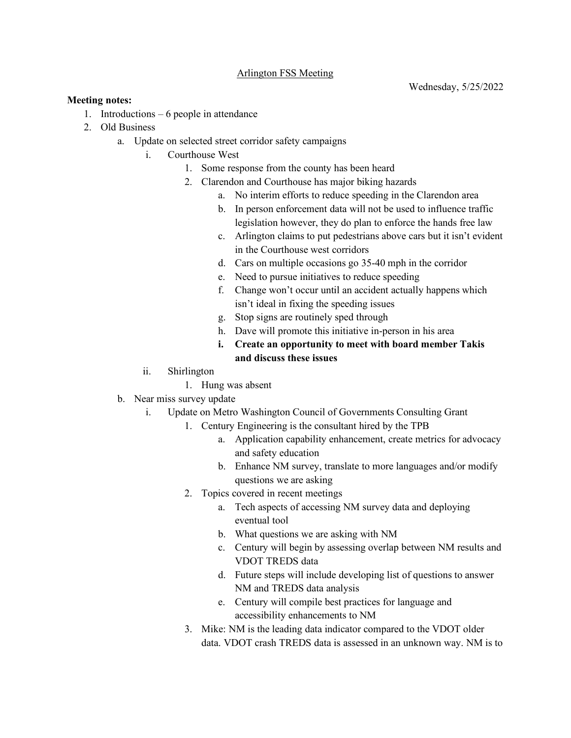## Arlington FSS Meeting

## **Meeting notes:**

- 1. Introductions 6 people in attendance
- 2. Old Business
	- a. Update on selected street corridor safety campaigns
		- i. Courthouse West
			- 1. Some response from the county has been heard
			- 2. Clarendon and Courthouse has major biking hazards
				- a. No interim efforts to reduce speeding in the Clarendon area
				- b. In person enforcement data will not be used to influence traffic legislation however, they do plan to enforce the hands free law
				- c. Arlington claims to put pedestrians above cars but it isn't evident in the Courthouse west corridors
				- d. Cars on multiple occasions go 35-40 mph in the corridor
				- e. Need to pursue initiatives to reduce speeding
				- f. Change won't occur until an accident actually happens which isn't ideal in fixing the speeding issues
				- g. Stop signs are routinely sped through
				- h. Dave will promote this initiative in-person in his area
				- **i. Create an opportunity to meet with board member Takis and discuss these issues**
		- ii. Shirlington
			- 1. Hung was absent
	- b. Near miss survey update
		- i. Update on Metro Washington Council of Governments Consulting Grant
			- 1. Century Engineering is the consultant hired by the TPB
				- a. Application capability enhancement, create metrics for advocacy and safety education
				- b. Enhance NM survey, translate to more languages and/or modify questions we are asking
			- 2. Topics covered in recent meetings
				- a. Tech aspects of accessing NM survey data and deploying eventual tool
				- b. What questions we are asking with NM
				- c. Century will begin by assessing overlap between NM results and VDOT TREDS data
				- d. Future steps will include developing list of questions to answer NM and TREDS data analysis
				- e. Century will compile best practices for language and accessibility enhancements to NM
			- 3. Mike: NM is the leading data indicator compared to the VDOT older data. VDOT crash TREDS data is assessed in an unknown way. NM is to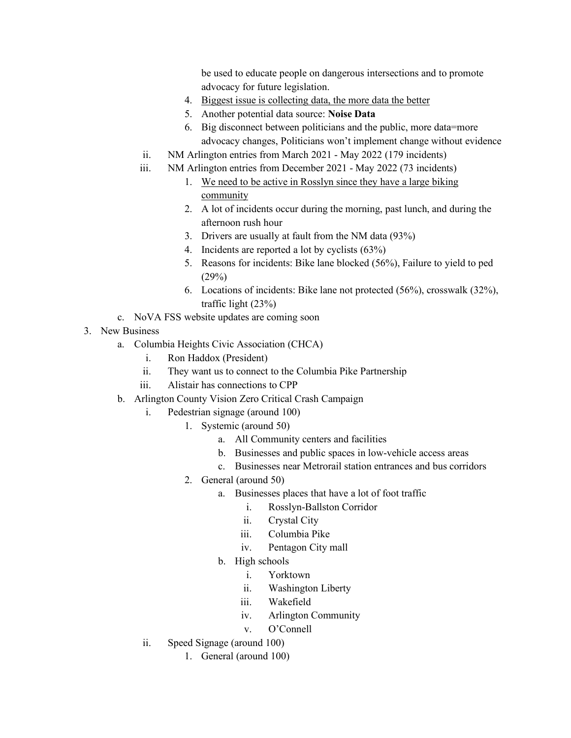be used to educate people on dangerous intersections and to promote advocacy for future legislation.

- 4. Biggest issue is collecting data, the more data the better
- 5. Another potential data source: **Noise Data**
- 6. Big disconnect between politicians and the public, more data=more advocacy changes, Politicians won't implement change without evidence
- ii. NM Arlington entries from March 2021 May 2022 (179 incidents)
- iii. NM Arlington entries from December 2021 May 2022 (73 incidents)
	- 1. We need to be active in Rosslyn since they have a large biking community
	- 2. A lot of incidents occur during the morning, past lunch, and during the afternoon rush hour
	- 3. Drivers are usually at fault from the NM data (93%)
	- 4. Incidents are reported a lot by cyclists (63%)
	- 5. Reasons for incidents: Bike lane blocked (56%), Failure to yield to ped (29%)
	- 6. Locations of incidents: Bike lane not protected (56%), crosswalk (32%), traffic light (23%)
- c. NoVA FSS website updates are coming soon
- 3. New Business
	- a. Columbia Heights Civic Association (CHCA)
		- i. Ron Haddox (President)
		- ii. They want us to connect to the Columbia Pike Partnership
		- iii. Alistair has connections to CPP
	- b. Arlington County Vision Zero Critical Crash Campaign
		- i. Pedestrian signage (around 100)
			- 1. Systemic (around 50)
				- a. All Community centers and facilities
				- b. Businesses and public spaces in low-vehicle access areas
				- c. Businesses near Metrorail station entrances and bus corridors
				- 2. General (around 50)
					- a. Businesses places that have a lot of foot traffic
						- i. Rosslyn-Ballston Corridor
						- ii. Crystal City
						- iii. Columbia Pike
						- iv. Pentagon City mall
					- b. High schools
						- i. Yorktown
						- ii. Washington Liberty
						- iii. Wakefield
						- iv. Arlington Community
						- v. O'Connell
		- ii. Speed Signage (around 100)
			- 1. General (around 100)